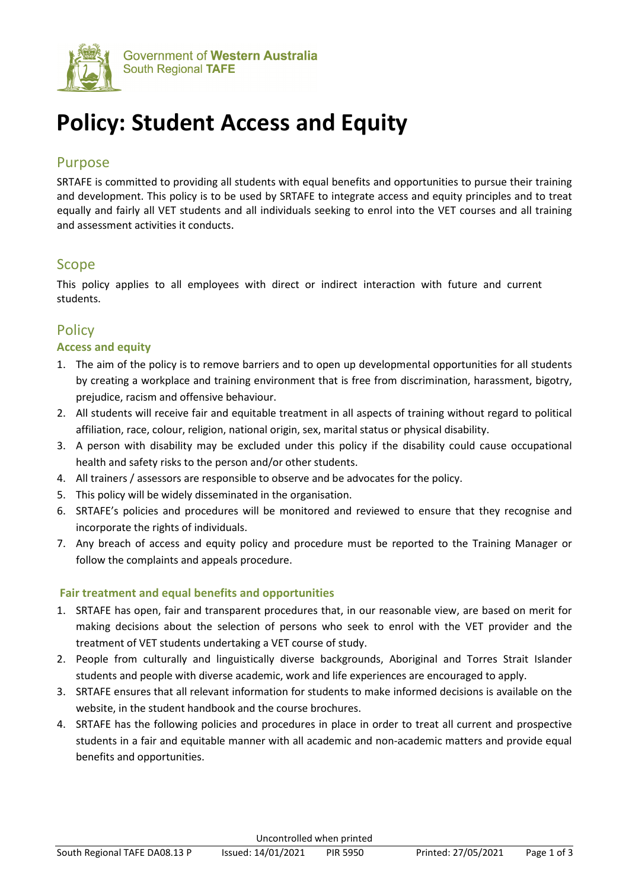

# **Policy: Student Access and Equity**

# Purpose

SRTAFE is committed to providing all students with equal benefits and opportunities to pursue their training and development. This policy is to be used by SRTAFE to integrate access and equity principles and to treat equally and fairly all VET students and all individuals seeking to enrol into the VET courses and all training and assessment activities it conducts.

# Scope

This policy applies to all employees with direct or indirect interaction with future and current students.

# **Policy**

## **Access and equity**

- 1. The aim of the policy is to remove barriers and to open up developmental opportunities for all students by creating a workplace and training environment that is free from discrimination, harassment, bigotry, prejudice, racism and offensive behaviour.
- 2. All students will receive fair and equitable treatment in all aspects of training without regard to political affiliation, race, colour, religion, national origin, sex, marital status or physical disability.
- 3. A person with disability may be excluded under this policy if the disability could cause occupational health and safety risks to the person and/or other students.
- 4. All trainers / assessors are responsible to observe and be advocates for the policy.
- 5. This policy will be widely disseminated in the organisation.
- 6. SRTAFE's policies and procedures will be monitored and reviewed to ensure that they recognise and incorporate the rights of individuals.
- 7. Any breach of access and equity policy and procedure must be reported to the Training Manager or follow the complaints and appeals procedure.

## **Fair treatment and equal benefits and opportunities**

- 1. SRTAFE has open, fair and transparent procedures that, in our reasonable view, are based on merit for making decisions about the selection of persons who seek to enrol with the VET provider and the treatment of VET students undertaking a VET course of study.
- 2. People from culturally and linguistically diverse backgrounds, Aboriginal and Torres Strait Islander students and people with diverse academic, work and life experiences are encouraged to apply.
- 3. SRTAFE ensures that all relevant information for students to make informed decisions is available on the website, in the student handbook and the course brochures.
- 4. SRTAFE has the following policies and procedures in place in order to treat all current and prospective students in a fair and equitable manner with all academic and non-academic matters and provide equal benefits and opportunities.

Uncontrolled when printed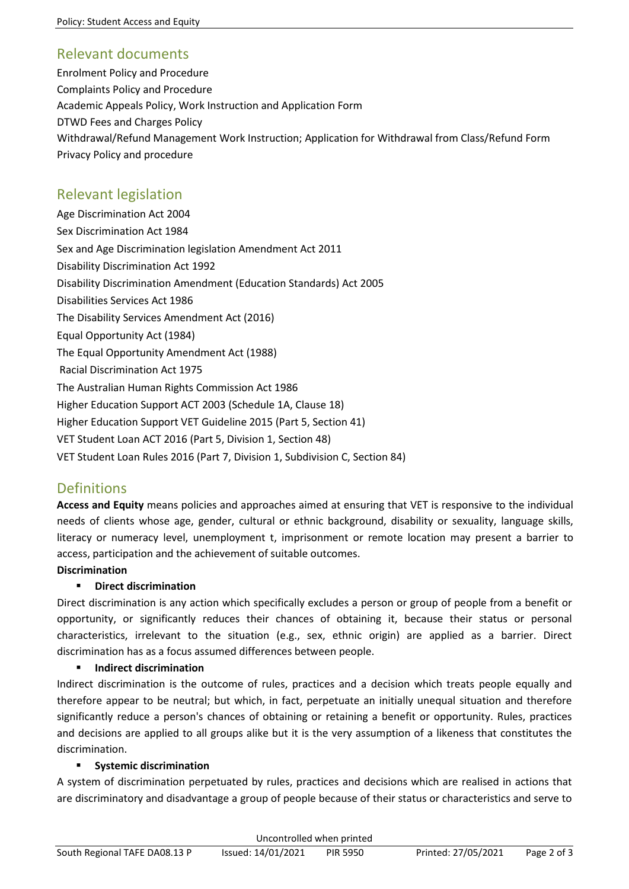## Relevant documents

Enrolment Policy and Procedure Complaints Policy and Procedure Academic Appeals Policy, Work Instruction and Application Form DTWD Fees and Charges Policy Withdrawal/Refund Management Work Instruction; Application for Withdrawal from Class/Refund Form Privacy Policy and procedure

# Relevant legislation

Age Discrimination Act 2004 [Sex Discrimination Act](http://scaleplus.law.gov.au/html/pasteact/0/171/top.htm) [1984](http://scaleplus.law.gov.au/html/pasteact/0/171/top.htm) Sex and Age Discrimination legislation Amendment Act 2011 Disability Discrimination Act 1992 Disability Discrimination Amendment (Education Standards) Act 2005 Disabilities Services Act 1986 The Disability Services Amendment Act (2016) Equal Opportunity Act (1984) The Equal Opportunity Amendment Act (1988) [Racial Discrimination Act](http://scaleplus.law.gov.au/html/pasteact/0/47/top.htm) [1975](http://scaleplus.law.gov.au/html/pasteact/0/47/top.htm) The [Australian Human Rights Commission Act](http://www.austlii.edu.au/au/legis/cth/consol_act/hraeoca1986512) [1986](http://www.austlii.edu.au/au/legis/cth/consol_act/hraeoca1986512) Higher Education Support ACT 2003 (Schedule 1A, Clause 18) Higher Education Support VET Guideline 2015 (Part 5, Section 41) VET Student Loan ACT 2016 (Part 5, Division 1, Section 48) VET Student Loan Rules 2016 (Part 7, Division 1, Subdivision C, Section 84)

# Definitions

**Access and Equity** means policies and approaches aimed at ensuring that VET is responsive to the individual needs of clients whose age, gender, cultural or ethnic background, disability or sexuality, language skills, literacy or numeracy level, unemployment t, imprisonment or remote location may present a barrier to access, participation and the achievement of suitable outcomes.

## **Discrimination**

## **Direct discrimination**

Direct discrimination is any action which specifically excludes a person or group of people from a benefit or opportunity, or significantly reduces their chances of obtaining it, because their status or personal characteristics, irrelevant to the situation (e.g., sex, ethnic origin) are applied as a barrier. Direct discrimination has as a focus assumed differences between people.

#### **Indirect discrimination**

Indirect discrimination is the outcome of rules, practices and a decision which treats people equally and therefore appear to be neutral; but which, in fact, perpetuate an initially unequal situation and therefore significantly reduce a person's chances of obtaining or retaining a benefit or opportunity. Rules, practices and decisions are applied to all groups alike but it is the very assumption of a likeness that constitutes the discrimination.

#### **F** Systemic discrimination

A system of discrimination perpetuated by rules, practices and decisions which are realised in actions that are discriminatory and disadvantage a group of people because of their status or characteristics and serve to

| Uncontrolled when printed     |                    |                 |                     |             |  |
|-------------------------------|--------------------|-----------------|---------------------|-------------|--|
| South Regional TAFE DA08.13 P | Issued: 14/01/2021 | <b>PIR 5950</b> | Printed: 27/05/2021 | Page 2 of 3 |  |